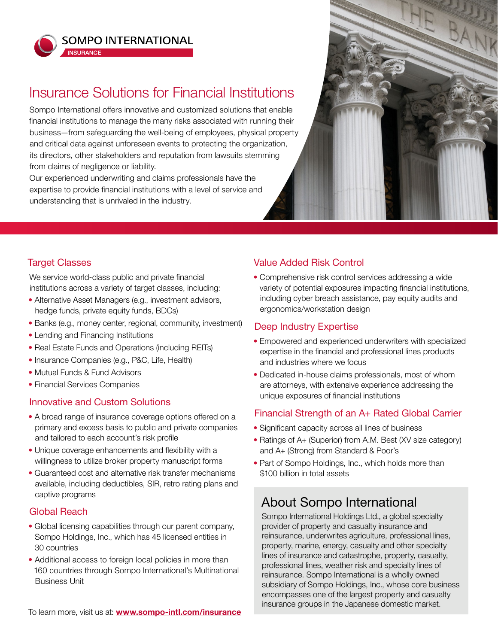

**INSURANCE** 

**SOMPO INTERNATIONAL** 

# Insurance Solutions for Financial Institutions

Sompo International offers innovative and customized solutions that enable financial institutions to manage the many risks associated with running their business—from safeguarding the well-being of employees, physical property and critical data against unforeseen events to protecting the organization, its directors, other stakeholders and reputation from lawsuits stemming from claims of negligence or liability.

Our experienced underwriting and claims professionals have the expertise to provide financial institutions with a level of service and understanding that is unrivaled in the industry.



#### Target Classes

We service world-class public and private financial institutions across a variety of target classes, including:

- Alternative Asset Managers (e.g., investment advisors, hedge funds, private equity funds, BDCs)
- Banks (e.g., money center, regional, community, investment)
- Lending and Financing Institutions
- Real Estate Funds and Operations (including REITs)
- Insurance Companies (e.g., P&C, Life, Health)
- Mutual Funds & Fund Advisors
- Financial Services Companies

## Innovative and Custom Solutions

- A broad range of insurance coverage options offered on a primary and excess basis to public and private companies and tailored to each account's risk profile
- Unique coverage enhancements and flexibility with a willingness to utilize broker property manuscript forms
- Guaranteed cost and alternative risk transfer mechanisms available, including deductibles, SIR, retro rating plans and captive programs

#### Global Reach

- Global licensing capabilities through our parent company, Sompo Holdings, Inc., which has 45 licensed entities in 30 countries
- Additional access to foreign local policies in more than 160 countries through Sompo International's Multinational Business Unit

## Value Added Risk Control

• Comprehensive risk control services addressing a wide variety of potential exposures impacting financial institutions, including cyber breach assistance, pay equity audits and ergonomics/workstation design

#### Deep Industry Expertise

- Empowered and experienced underwriters with specialized expertise in the financial and professional lines products and industries where we focus
- Dedicated in-house claims professionals, most of whom are attorneys, with extensive experience addressing the unique exposures of financial institutions

## Financial Strength of an A+ Rated Global Carrier

- Significant capacity across all lines of business
- Ratings of A+ (Superior) from A.M. Best (XV size category) and A+ (Strong) from Standard & Poor's
- Part of Sompo Holdings, Inc., which holds more than \$100 billion in total assets

## About Sompo International

Sompo International Holdings Ltd., a global specialty provider of property and casualty insurance and reinsurance, underwrites agriculture, professional lines, property, marine, energy, casualty and other specialty lines of insurance and catastrophe, property, casualty, professional lines, weather risk and specialty lines of reinsurance. Sompo International is a wholly owned subsidiary of Sompo Holdings, Inc., whose core business encompasses one of the largest property and casualty insurance groups in the Japanese domestic market.